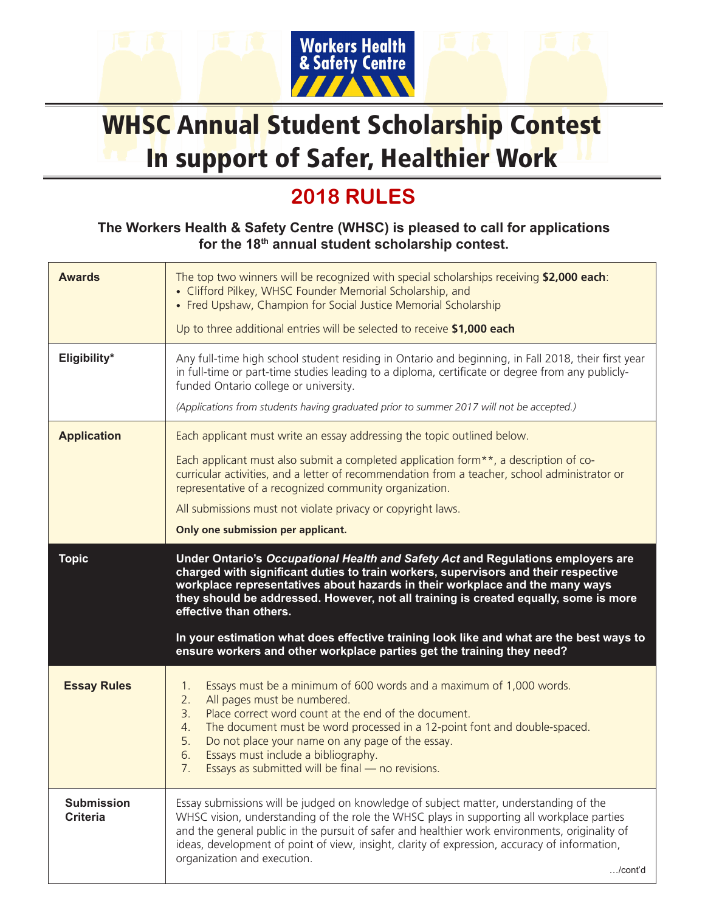

## WHSC Annual Student Scholarship Contest In support of Safer, Healthier Work

## **2018 RULES**

## **The Workers Health & Safety Centre (WHSC) is pleased to call for applications for the 18th annual student scholarship contest.**

| <b>Awards</b>                        | The top two winners will be recognized with special scholarships receiving \$2,000 each:<br>• Clifford Pilkey, WHSC Founder Memorial Scholarship, and<br>• Fred Upshaw, Champion for Social Justice Memorial Scholarship<br>Up to three additional entries will be selected to receive \$1,000 each                                                                                                                                                                                                                                           |
|--------------------------------------|-----------------------------------------------------------------------------------------------------------------------------------------------------------------------------------------------------------------------------------------------------------------------------------------------------------------------------------------------------------------------------------------------------------------------------------------------------------------------------------------------------------------------------------------------|
| Eligibility*                         | Any full-time high school student residing in Ontario and beginning, in Fall 2018, their first year<br>in full-time or part-time studies leading to a diploma, certificate or degree from any publicly-<br>funded Ontario college or university.<br>(Applications from students having graduated prior to summer 2017 will not be accepted.)                                                                                                                                                                                                  |
| <b>Application</b>                   | Each applicant must write an essay addressing the topic outlined below.<br>Each applicant must also submit a completed application form <sup>**</sup> , a description of co-<br>curricular activities, and a letter of recommendation from a teacher, school administrator or<br>representative of a recognized community organization.<br>All submissions must not violate privacy or copyright laws.<br>Only one submission per applicant.                                                                                                  |
| <b>Topic</b>                         | Under Ontario's Occupational Health and Safety Act and Regulations employers are<br>charged with significant duties to train workers, supervisors and their respective<br>workplace representatives about hazards in their workplace and the many ways<br>they should be addressed. However, not all training is created equally, some is more<br>effective than others.<br>In your estimation what does effective training look like and what are the best ways to<br>ensure workers and other workplace parties get the training they need? |
| <b>Essay Rules</b>                   | Essays must be a minimum of 600 words and a maximum of 1,000 words.<br>1.<br>All pages must be numbered.<br>2.<br>Place correct word count at the end of the document.<br>3.<br>The document must be word processed in a 12-point font and double-spaced.<br>4.<br>5.<br>Do not place your name on any page of the essay.<br>Essays must include a bibliography.<br>6.<br>Essays as submitted will be final - no revisions.<br>7.                                                                                                             |
| <b>Submission</b><br><b>Criteria</b> | Essay submissions will be judged on knowledge of subject matter, understanding of the<br>WHSC vision, understanding of the role the WHSC plays in supporting all workplace parties<br>and the general public in the pursuit of safer and healthier work environments, originality of<br>ideas, development of point of view, insight, clarity of expression, accuracy of information,<br>organization and execution.<br>$$ /cont'd                                                                                                            |